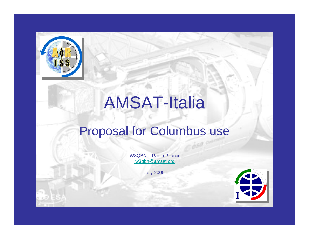

# AMSAT-Italia

#### Proposal for Columbus use

IW3QBN – Paolo Pitacco[iw3qbn@amsat.org](mailto:iw3qbn@amsat.org)

J uly 2005

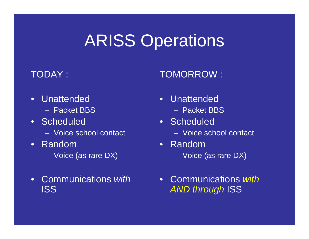## ARISS Operations

#### TODAY :

TOMORROW :

- •Unattended
	- –Packet BBS
- Scheduled
	- Voice school contact
- •Random
	- Voice (as rare DX)
- •Communications *with*ISS
- •Unattended
	- –Packet BBS
- Scheduled
	- Voice school contact
- •Random– Voice (as rare DX)
- •Communications *withAND through* ISS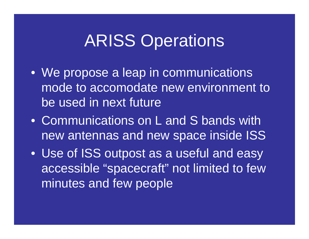### ARISS Operations

- W e propose a leap in communications mode to accomodate new environment to be used in next future
- •Communications on L and S bands with new antennas and new space inside ISS
- Use of ISS outpost as a useful and easy accessible "spacecraft" not limited t o few minutes and few people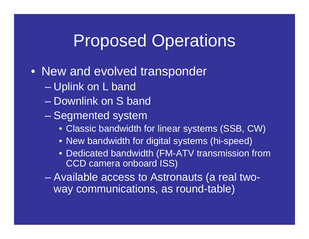#### Proposed Operations

- New and evolved transponder
	- Uplink on L band
	- Downlink on S band
	- en al control de la control de – Segmented system
		- Classic bandwidth for linear systems (SSB, CW)
		- New bandwidth for digital systems (hi-speed)
		- Dedicated bandwidth (FM-ATV transmission from CCD camera onboard ISS)
	- en al control de la control de Available access to Astronauts (a real twoway communications, as round-table)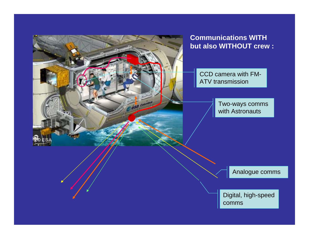

#### **Communications WITH but also WITHOUT crew :**

CCD camera with FM-ATV transmission

> T wo-ways comms with Astronauts

> > Analogue comms

Digital, high-speed comms